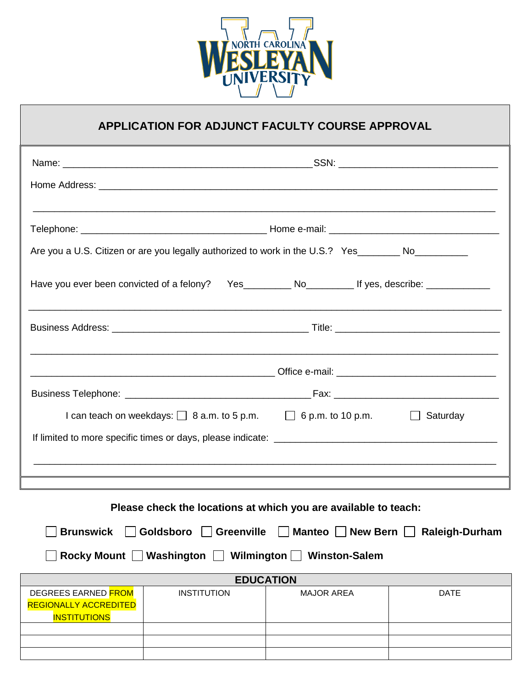

## **APPLICATION FOR ADJUNCT FACULTY COURSE APPROVAL**

|                                                                                                                | Are you a U.S. Citizen or are you legally authorized to work in the U.S.? Yes________ No___________ |                                                                                           |             |  |
|----------------------------------------------------------------------------------------------------------------|-----------------------------------------------------------------------------------------------------|-------------------------------------------------------------------------------------------|-------------|--|
| Have you ever been convicted of a felony? Yes____________ No____________________ If yes, describe: ___________ |                                                                                                     |                                                                                           |             |  |
|                                                                                                                |                                                                                                     |                                                                                           |             |  |
|                                                                                                                |                                                                                                     |                                                                                           |             |  |
|                                                                                                                |                                                                                                     |                                                                                           |             |  |
|                                                                                                                |                                                                                                     | I can teach on weekdays: $\Box$ 8 a.m. to 5 p.m. $\Box$ 6 p.m. to 10 p.m. $\Box$ Saturday |             |  |
|                                                                                                                |                                                                                                     |                                                                                           |             |  |
|                                                                                                                |                                                                                                     |                                                                                           |             |  |
|                                                                                                                |                                                                                                     |                                                                                           |             |  |
|                                                                                                                |                                                                                                     | Please check the locations at which you are available to teach:                           |             |  |
| □ Brunswick □ Goldsboro □ Greenville □ Manteo □ New Bern □ Raleigh-Durham                                      |                                                                                                     |                                                                                           |             |  |
| Rocky Mount   Washington   Wilmington   Winston-Salem                                                          |                                                                                                     |                                                                                           |             |  |
| <b>EDUCATION</b>                                                                                               |                                                                                                     |                                                                                           |             |  |
| DEGREES EARNED FROM<br><b>REGIONALLY ACCREDITED</b><br><b>INSTITUTIONS</b>                                     | <b>INSTITUTION</b>                                                                                  | <b>MAJOR AREA</b>                                                                         | <b>DATE</b> |  |
|                                                                                                                |                                                                                                     |                                                                                           |             |  |
|                                                                                                                |                                                                                                     |                                                                                           |             |  |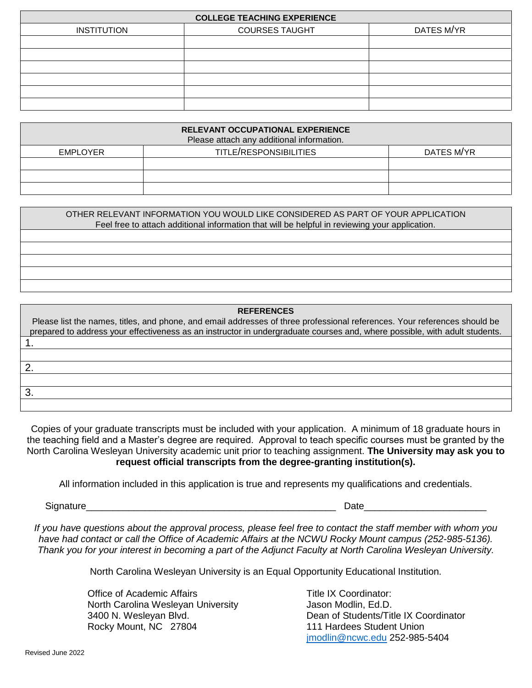| <b>COLLEGE TEACHING EXPERIENCE</b> |                       |            |  |  |
|------------------------------------|-----------------------|------------|--|--|
| <b>INSTITUTION</b>                 | <b>COURSES TAUGHT</b> | DATES M/YR |  |  |
|                                    |                       |            |  |  |
|                                    |                       |            |  |  |
|                                    |                       |            |  |  |
|                                    |                       |            |  |  |
|                                    |                       |            |  |  |
|                                    |                       |            |  |  |

| <b>RELEVANT OCCUPATIONAL EXPERIENCE</b><br>Please attach any additional information. |                                      |  |  |
|--------------------------------------------------------------------------------------|--------------------------------------|--|--|
| <b>EMPLOYER</b>                                                                      | TITLE/RESPONSIBILITIES<br>DATES M/YR |  |  |
|                                                                                      |                                      |  |  |
|                                                                                      |                                      |  |  |
|                                                                                      |                                      |  |  |

| OTHER RELEVANT INFORMATION YOU WOULD LIKE CONSIDERED AS PART OF YOUR APPLICATION<br>Feel free to attach additional information that will be helpful in reviewing your application. |  |  |
|------------------------------------------------------------------------------------------------------------------------------------------------------------------------------------|--|--|
|                                                                                                                                                                                    |  |  |
|                                                                                                                                                                                    |  |  |
|                                                                                                                                                                                    |  |  |
|                                                                                                                                                                                    |  |  |
|                                                                                                                                                                                    |  |  |

| <b>REFERENCES</b>                                                                                                          |  |  |  |  |
|----------------------------------------------------------------------------------------------------------------------------|--|--|--|--|
| Please list the names, titles, and phone, and email addresses of three professional references. Your references should be  |  |  |  |  |
| prepared to address your effectiveness as an instructor in undergraduate courses and, where possible, with adult students. |  |  |  |  |
|                                                                                                                            |  |  |  |  |
|                                                                                                                            |  |  |  |  |
| ာ                                                                                                                          |  |  |  |  |
|                                                                                                                            |  |  |  |  |
| 3                                                                                                                          |  |  |  |  |
|                                                                                                                            |  |  |  |  |

Copies of your graduate transcripts must be included with your application. A minimum of 18 graduate hours in the teaching field and a Master's degree are required. Approval to teach specific courses must be granted by the North Carolina Wesleyan University academic unit prior to teaching assignment. **The University may ask you to request official transcripts from the degree-granting institution(s).** 

All information included in this application is true and represents my qualifications and credentials.

Signature\_\_\_\_\_\_\_\_\_\_\_\_\_\_\_\_\_\_\_\_\_\_\_\_\_\_\_\_\_\_\_\_\_\_\_\_\_\_\_\_\_\_\_\_\_\_\_ Date\_\_\_\_\_\_\_\_\_\_\_\_\_\_\_\_\_\_\_\_\_\_\_

*If you have questions about the approval process, please feel free to contact the staff member with whom you have had contact or call the Office of Academic Affairs at the NCWU Rocky Mount campus (252-985-5136). Thank you for your interest in becoming a part of the Adjunct Faculty at North Carolina Wesleyan University.*

North Carolina Wesleyan University is an Equal Opportunity Educational Institution.

Office of Academic Affairs **Title IX Coordinator:** North Carolina Wesleyan University **Jason Modlin, Ed.D.** Rocky Mount, NC 27804 111 Hardees Student Union

3400 N. Wesleyan Blvd. Dean of Students/Title IX Coordinator [jmodlin@ncwc.edu](mailto:jmodlin@ncwc.edu) 252-985-5404